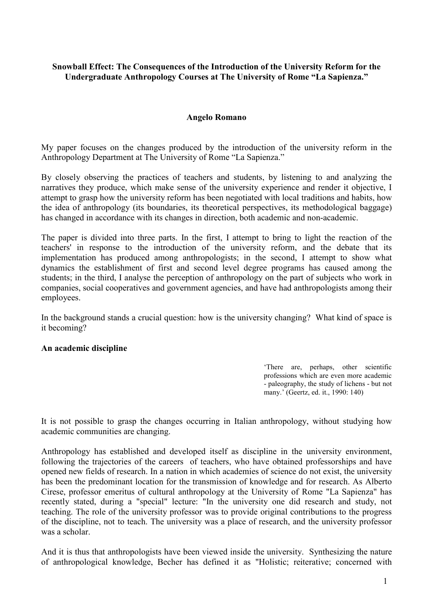## Snowball Effect: The Consequences of the Introduction of the University Reform for the Undergraduate Anthropology Courses at The University of Rome "La Sapienza."

## Angelo Romano

My paper focuses on the changes produced by the introduction of the university reform in the Anthropology Department at The University of Rome "La Sapienza."

By closely observing the practices of teachers and students, by listening to and analyzing the narratives they produce, which make sense of the university experience and render it objective, I attempt to grasp how the university reform has been negotiated with local traditions and habits, how the idea of anthropology (its boundaries, its theoretical perspectives, its methodological baggage) has changed in accordance with its changes in direction, both academic and non-academic.

The paper is divided into three parts. In the first, I attempt to bring to light the reaction of the teachers' in response to the introduction of the university reform, and the debate that its implementation has produced among anthropologists; in the second, I attempt to show what dynamics the establishment of first and second level degree programs has caused among the students; in the third, I analyse the perception of anthropology on the part of subjects who work in companies, social cooperatives and government agencies, and have had anthropologists among their employees.

In the background stands a crucial question: how is the university changing? What kind of space is it becoming?

#### An academic discipline

'There are, perhaps, other scientific professions which are even more academic - paleography, the study of lichens - but not many.' (Geertz, ed. it., 1990: 140)

It is not possible to grasp the changes occurring in Italian anthropology, without studying how academic communities are changing.

Anthropology has established and developed itself as discipline in the university environment, following the trajectories of the careers of teachers, who have obtained professorships and have opened new fields of research. In a nation in which academies of science do not exist, the university has been the predominant location for the transmission of knowledge and for research. As Alberto Cirese, professor emeritus of cultural anthropology at the University of Rome "La Sapienza" has recently stated, during a "special" lecture: "In the university one did research and study, not teaching. The role of the university professor was to provide original contributions to the progress of the discipline, not to teach. The university was a place of research, and the university professor was a scholar.

And it is thus that anthropologists have been viewed inside the university. Synthesizing the nature of anthropological knowledge, Becher has defined it as "Holistic; reiterative; concerned with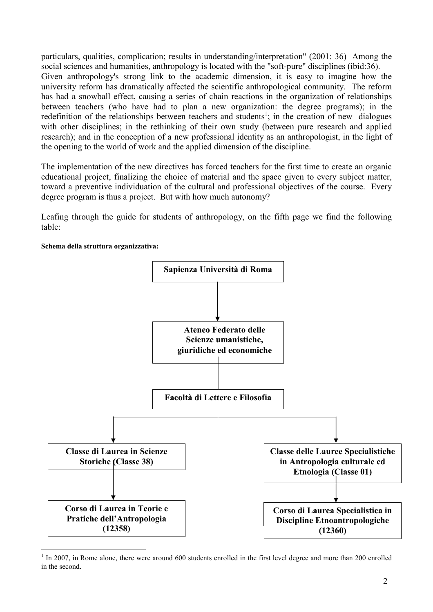particulars, qualities, complication; results in understanding/interpretation" (2001: 36) Among the social sciences and humanities, anthropology is located with the "soft-pure" disciplines (ibid:36). Given anthropology's strong link to the academic dimension, it is easy to imagine how the university reform has dramatically affected the scientific anthropological community. The reform has had a snowball effect, causing a series of chain reactions in the organization of relationships between teachers (who have had to plan a new organization: the degree programs); in the redefinition of the relationships between teachers and students<sup>1</sup>; in the creation of new dialogues with other disciplines; in the rethinking of their own study (between pure research and applied research); and in the conception of a new professional identity as an anthropologist, in the light of the opening to the world of work and the applied dimension of the discipline.

The implementation of the new directives has forced teachers for the first time to create an organic educational project, finalizing the choice of material and the space given to every subject matter, toward a preventive individuation of the cultural and professional objectives of the course. Every degree program is thus a project. But with how much autonomy?

Leafing through the guide for students of anthropology, on the fifth page we find the following table:



#### Schema della struttura organizzativa:

<sup>&</sup>lt;sup>1</sup> In 2007, in Rome alone, there were around 600 students enrolled in the first level degree and more than 200 enrolled in the second.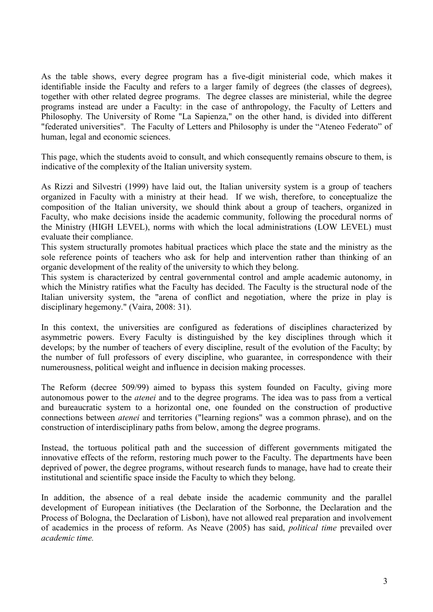As the table shows, every degree program has a five-digit ministerial code, which makes it identifiable inside the Faculty and refers to a larger family of degrees (the classes of degrees), together with other related degree programs. The degree classes are ministerial, while the degree programs instead are under a Faculty: in the case of anthropology, the Faculty of Letters and Philosophy. The University of Rome "La Sapienza," on the other hand, is divided into different "federated universities". The Faculty of Letters and Philosophy is under the "Ateneo Federato" of human, legal and economic sciences.

This page, which the students avoid to consult, and which consequently remains obscure to them, is indicative of the complexity of the Italian university system.

As Rizzi and Silvestri (1999) have laid out, the Italian university system is a group of teachers organized in Faculty with a ministry at their head. If we wish, therefore, to conceptualize the composition of the Italian university, we should think about a group of teachers, organized in Faculty, who make decisions inside the academic community, following the procedural norms of the Ministry (HIGH LEVEL), norms with which the local administrations (LOW LEVEL) must evaluate their compliance.

This system structurally promotes habitual practices which place the state and the ministry as the sole reference points of teachers who ask for help and intervention rather than thinking of an organic development of the reality of the university to which they belong.

This system is characterized by central governmental control and ample academic autonomy, in which the Ministry ratifies what the Faculty has decided. The Faculty is the structural node of the Italian university system, the "arena of conflict and negotiation, where the prize in play is disciplinary hegemony." (Vaira, 2008: 31).

In this context, the universities are configured as federations of disciplines characterized by asymmetric powers. Every Faculty is distinguished by the key disciplines through which it develops; by the number of teachers of every discipline, result of the evolution of the Faculty; by the number of full professors of every discipline, who guarantee, in correspondence with their numerousness, political weight and influence in decision making processes.

The Reform (decree 509/99) aimed to bypass this system founded on Faculty, giving more autonomous power to the atenei and to the degree programs. The idea was to pass from a vertical and bureaucratic system to a horizontal one, one founded on the construction of productive connections between atenei and territories ("learning regions" was a common phrase), and on the construction of interdisciplinary paths from below, among the degree programs.

Instead, the tortuous political path and the succession of different governments mitigated the innovative effects of the reform, restoring much power to the Faculty. The departments have been deprived of power, the degree programs, without research funds to manage, have had to create their institutional and scientific space inside the Faculty to which they belong.

In addition, the absence of a real debate inside the academic community and the parallel development of European initiatives (the Declaration of the Sorbonne, the Declaration and the Process of Bologna, the Declaration of Lisbon), have not allowed real preparation and involvement of academics in the process of reform. As Neave (2005) has said, political time prevailed over academic time.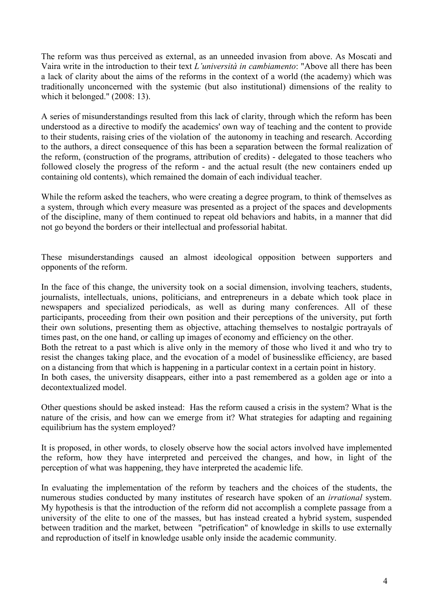The reform was thus perceived as external, as an unneeded invasion from above. As Moscati and Vaira write in the introduction to their text L'università in cambiamento: "Above all there has been a lack of clarity about the aims of the reforms in the context of a world (the academy) which was traditionally unconcerned with the systemic (but also institutional) dimensions of the reality to which it belonged." (2008: 13).

A series of misunderstandings resulted from this lack of clarity, through which the reform has been understood as a directive to modify the academics' own way of teaching and the content to provide to their students, raising cries of the violation of the autonomy in teaching and research. According to the authors, a direct consequence of this has been a separation between the formal realization of the reform, (construction of the programs, attribution of credits) - delegated to those teachers who followed closely the progress of the reform - and the actual result (the new containers ended up containing old contents), which remained the domain of each individual teacher.

While the reform asked the teachers, who were creating a degree program, to think of themselves as a system, through which every measure was presented as a project of the spaces and developments of the discipline, many of them continued to repeat old behaviors and habits, in a manner that did not go beyond the borders or their intellectual and professorial habitat.

These misunderstandings caused an almost ideological opposition between supporters and opponents of the reform.

In the face of this change, the university took on a social dimension, involving teachers, students, journalists, intellectuals, unions, politicians, and entrepreneurs in a debate which took place in newspapers and specialized periodicals, as well as during many conferences. All of these participants, proceeding from their own position and their perceptions of the university, put forth their own solutions, presenting them as objective, attaching themselves to nostalgic portrayals of times past, on the one hand, or calling up images of economy and efficiency on the other.

Both the retreat to a past which is alive only in the memory of those who lived it and who try to resist the changes taking place, and the evocation of a model of businesslike efficiency, are based on a distancing from that which is happening in a particular context in a certain point in history.

In both cases, the university disappears, either into a past remembered as a golden age or into a decontextualized model.

Other questions should be asked instead: Has the reform caused a crisis in the system? What is the nature of the crisis, and how can we emerge from it? What strategies for adapting and regaining equilibrium has the system employed?

It is proposed, in other words, to closely observe how the social actors involved have implemented the reform, how they have interpreted and perceived the changes, and how, in light of the perception of what was happening, they have interpreted the academic life.

In evaluating the implementation of the reform by teachers and the choices of the students, the numerous studies conducted by many institutes of research have spoken of an *irrational* system. My hypothesis is that the introduction of the reform did not accomplish a complete passage from a university of the elite to one of the masses, but has instead created a hybrid system, suspended between tradition and the market, between "petrification" of knowledge in skills to use externally and reproduction of itself in knowledge usable only inside the academic community.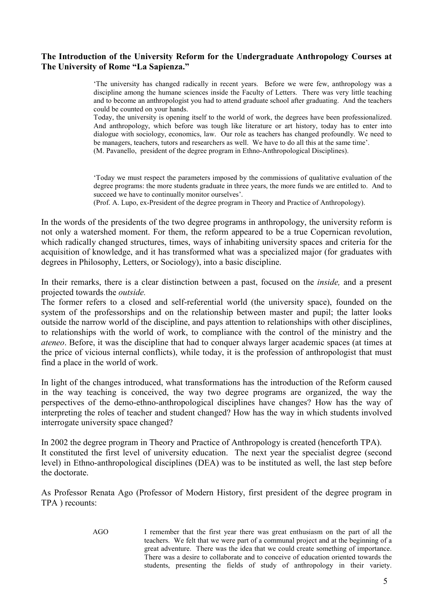## The Introduction of the University Reform for the Undergraduate Anthropology Courses at The University of Rome "La Sapienza."

'The university has changed radically in recent years. Before we were few, anthropology was a discipline among the humane sciences inside the Faculty of Letters. There was very little teaching and to become an anthropologist you had to attend graduate school after graduating. And the teachers could be counted on your hands.

Today, the university is opening itself to the world of work, the degrees have been professionalized. And anthropology, which before was tough like literature or art history, today has to enter into dialogue with sociology, economics, law. Our role as teachers has changed profoundly. We need to be managers, teachers, tutors and researchers as well. We have to do all this at the same time'. (M. Pavanello, president of the degree program in Ethno-Anthropological Disciplines).

'Today we must respect the parameters imposed by the commissions of qualitative evaluation of the degree programs: the more students graduate in three years, the more funds we are entitled to. And to succeed we have to continually monitor ourselves'.

(Prof. A. Lupo, ex-President of the degree program in Theory and Practice of Anthropology).

In the words of the presidents of the two degree programs in anthropology, the university reform is not only a watershed moment. For them, the reform appeared to be a true Copernican revolution, which radically changed structures, times, ways of inhabiting university spaces and criteria for the acquisition of knowledge, and it has transformed what was a specialized major (for graduates with degrees in Philosophy, Letters, or Sociology), into a basic discipline.

In their remarks, there is a clear distinction between a past, focused on the *inside*, and a present projected towards the outside.

The former refers to a closed and self-referential world (the university space), founded on the system of the professorships and on the relationship between master and pupil; the latter looks outside the narrow world of the discipline, and pays attention to relationships with other disciplines, to relationships with the world of work, to compliance with the control of the ministry and the ateneo. Before, it was the discipline that had to conquer always larger academic spaces (at times at the price of vicious internal conflicts), while today, it is the profession of anthropologist that must find a place in the world of work.

In light of the changes introduced, what transformations has the introduction of the Reform caused in the way teaching is conceived, the way two degree programs are organized, the way the perspectives of the demo-ethno-anthropological disciplines have changes? How has the way of interpreting the roles of teacher and student changed? How has the way in which students involved interrogate university space changed?

In 2002 the degree program in Theory and Practice of Anthropology is created (henceforth TPA). It constituted the first level of university education. The next year the specialist degree (second level) in Ethno-anthropological disciplines (DEA) was to be instituted as well, the last step before the doctorate.

As Professor Renata Ago (Professor of Modern History, first president of the degree program in TPA ) recounts:

> AGO I remember that the first year there was great enthusiasm on the part of all the teachers. We felt that we were part of a communal project and at the beginning of a great adventure. There was the idea that we could create something of importance. There was a desire to collaborate and to conceive of education oriented towards the students, presenting the fields of study of anthropology in their variety.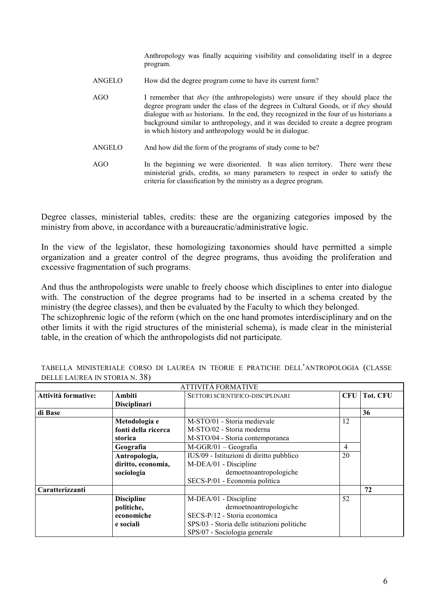Anthropology was finally acquiring visibility and consolidating itself in a degree program.

| ANGELO | How did the degree program come to have its current form?                                                                                                                                                                                                                                                                                                                                                               |  |  |  |
|--------|-------------------------------------------------------------------------------------------------------------------------------------------------------------------------------------------------------------------------------------------------------------------------------------------------------------------------------------------------------------------------------------------------------------------------|--|--|--|
| AGO    | I remember that <i>they</i> (the anthropologists) were unsure if they should place the<br>degree program under the class of the degrees in Cultural Goods, or if they should<br>dialogue with us historians. In the end, they recognized in the four of us historians a<br>background similar to anthropology, and it was decided to create a degree program<br>in which history and anthropology would be in dialogue. |  |  |  |
| ANGELO | And how did the form of the programs of study come to be?                                                                                                                                                                                                                                                                                                                                                               |  |  |  |
| AGO    | In the beginning we were disoriented. It was alien territory. There were these                                                                                                                                                                                                                                                                                                                                          |  |  |  |

AGO In the beginning we were disoriented. It was alien territory. There were these ministerial grids, credits, so many parameters to respect in order to satisfy the criteria for classification by the ministry as a degree program.

Degree classes, ministerial tables, credits: these are the organizing categories imposed by the ministry from above, in accordance with a bureaucratic/administrative logic.

In the view of the legislator, these homologizing taxonomies should have permitted a simple organization and a greater control of the degree programs, thus avoiding the proliferation and excessive fragmentation of such programs.

And thus the anthropologists were unable to freely choose which disciplines to enter into dialogue with. The construction of the degree programs had to be inserted in a schema created by the ministry (the degree classes), and then be evaluated by the Faculty to which they belonged.

The schizophrenic logic of the reform (which on the one hand promotes interdisciplinary and on the other limits it with the rigid structures of the ministerial schema), is made clear in the ministerial table, in the creation of which the anthropologists did not participate.

| <b>ATTIVITA FORMATIVE</b> |                     |                                             |            |                 |  |  |  |
|---------------------------|---------------------|---------------------------------------------|------------|-----------------|--|--|--|
| Attività formative:       | Ambiti              | <b>SETTORI SCIENTIFICO-DISCIPLINARI</b>     | <b>CFU</b> | <b>Tot. CFU</b> |  |  |  |
|                           | <b>Disciplinari</b> |                                             |            |                 |  |  |  |
| di Base                   |                     |                                             |            | 36              |  |  |  |
|                           | Metodologia e       | M-STO/01 - Storia medievale                 | 12         |                 |  |  |  |
|                           | fonti della ricerca | M-STO/02 - Storia moderna                   |            |                 |  |  |  |
|                           | storica             | M-STO/04 - Storia contemporanea             |            |                 |  |  |  |
|                           | Geografia           | $M-GGR/01 - Geografi$ a                     | 4          |                 |  |  |  |
|                           | Antropologia,       | IUS/09 - Istituzioni di diritto pubblico    | 20         |                 |  |  |  |
|                           | diritto, economia,  | M-DEA/01 - Discipline                       |            |                 |  |  |  |
|                           | sociologia          | demoetnoantropologiche                      |            |                 |  |  |  |
|                           |                     | SECS-P/01 - Economia politica               |            |                 |  |  |  |
| Caratterizzanti           |                     |                                             |            | 72              |  |  |  |
|                           | <b>Discipline</b>   | M-DEA/01 - Discipline                       | 52         |                 |  |  |  |
|                           | politiche,          | demoetnoantropologiche                      |            |                 |  |  |  |
|                           | economiche          | SECS-P/12 - Storia economica                |            |                 |  |  |  |
|                           | e sociali           | SPS/03 - Storia delle istituzioni politiche |            |                 |  |  |  |
|                           |                     | SPS/07 - Sociologia generale                |            |                 |  |  |  |

TABELLA MINISTERIALE CORSO DI LAUREA IN TEORIE E PRATICHE DELL'ANTROPOLOGIA (CLASSE DELLE LAUREA IN STORIA N. 38)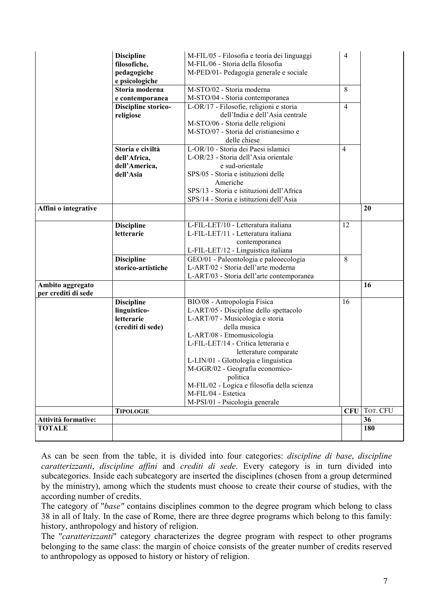|                                         | <b>Discipline</b>                      | M-FIL/05 - Filosofia e teoria dei linguaggi | $\overline{4}$ |                     |
|-----------------------------------------|----------------------------------------|---------------------------------------------|----------------|---------------------|
|                                         | filosofiche,                           | M-FIL/06 - Storia della filosofia           |                |                     |
|                                         | pedagogiche                            | M-PED/01- Pedagogia generale e sociale      |                |                     |
|                                         | e psicologiche<br>Storia moderna       | M-STO/02 - Storia moderna                   | 8              |                     |
|                                         |                                        | M-STO/04 - Storia contemporanea             |                |                     |
|                                         | e contemporanea<br>Discipline storico- | L-OR/17 - Filosofie, religioni e storia     | $\overline{4}$ |                     |
|                                         | religiose                              | dell'India e dell'Asia centrale             |                |                     |
|                                         |                                        | M-STO/06 - Storia delle religioni           |                |                     |
|                                         |                                        | M-STO/07 - Storia del cristianesimo e       |                |                     |
|                                         |                                        | delle chiese                                |                |                     |
|                                         | Storia e civiltà                       | L-OR/10 - Storia dei Paesi islamici         | $\overline{4}$ |                     |
|                                         | dell'Africa,                           | L-OR/23 - Storia dell'Asia orientale        |                |                     |
|                                         | dell'America,                          | e sud-orientale                             |                |                     |
|                                         | dell'Asia                              | SPS/05 - Storia e istituzioni delle         |                |                     |
|                                         |                                        | Americhe                                    |                |                     |
|                                         |                                        | SPS/13 - Storia e istituzioni dell'Africa   |                |                     |
|                                         |                                        | SPS/14 - Storia e istituzioni dell'Asia     |                |                     |
| Affini o integrative                    |                                        |                                             |                | 20                  |
|                                         |                                        |                                             |                |                     |
|                                         | <b>Discipline</b>                      | L-FIL-LET/10 - Letteratura italiana         | 12             |                     |
|                                         | letterarie                             | L-FIL-LET/11 - Letteratura italiana         |                |                     |
|                                         |                                        | contemporanea                               |                |                     |
|                                         |                                        | L-FIL-LET/12 - Linguistica italiana         |                |                     |
|                                         | <b>Discipline</b>                      | GEO/01 - Paleontologia e paleoecologia      | 8              |                     |
|                                         | storico-artistiche                     | L-ART/02 - Storia dell'arte moderna         |                |                     |
|                                         |                                        | L-ART/03 - Storia dell'arte contemporanea   |                |                     |
| Ambito aggregato<br>per crediti di sede |                                        |                                             |                | 16                  |
|                                         | <b>Discipline</b>                      | BIO/08 - Antropologia Fisica                | 16             |                     |
|                                         | linguistico-                           | L-ART/05 - Discipline dello spettacolo      |                |                     |
|                                         | letterarie                             | L-ART/07 - Musicologia e storia             |                |                     |
|                                         | (crediti di sede)                      | della musica                                |                |                     |
|                                         |                                        | L-ART/08 - Etnomusicologia                  |                |                     |
|                                         |                                        | L-FIL-LET/14 - Critica letteraria e         |                |                     |
|                                         |                                        | letterature comparate                       |                |                     |
|                                         |                                        | L-LIN/01 - Glottologia e linguistica        |                |                     |
|                                         |                                        | M-GGR/02 - Geografia economico-             |                |                     |
|                                         |                                        | politica                                    |                |                     |
|                                         |                                        | M-FIL/02 - Logica e filosofia della scienza |                |                     |
|                                         |                                        | M-FIL/04 - Estetica                         |                |                     |
|                                         |                                        | M-PSI/01 - Psicologia generale              |                |                     |
|                                         | <b>TIPOLOGIE</b>                       |                                             |                | <b>CFU</b> TOT. CFU |
| Attività formative:                     |                                        |                                             |                | 36                  |
| <b>TOTALE</b>                           |                                        |                                             |                | 180                 |
|                                         |                                        |                                             |                |                     |

As can be seen from the table, it is divided into four categories: discipline di base, discipline caratterizzanti, discipline affini and crediti di sede. Every category is in turn divided into subcategories. Inside each subcategory are inserted the disciplines (chosen from a group determined by the ministry), among which the students must choose to create their course of studies, with the according number of credits.

The category of "*base"* contains disciplines common to the degree program which belong to class 38 in all of Italy. In the case of Rome, there are three degree programs which belong to this family: history, anthropology and history of religion.

The "*caratterizzanti*" category characterizes the degree program with respect to other programs belonging to the same class: the margin of choice consists of the greater number of credits reserved to anthropology as opposed to history or history of religion.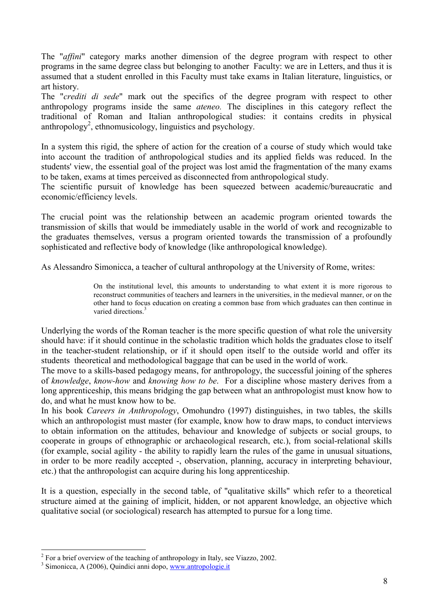The "affini" category marks another dimension of the degree program with respect to other programs in the same degree class but belonging to another Faculty: we are in Letters, and thus it is assumed that a student enrolled in this Faculty must take exams in Italian literature, linguistics, or art history.

The "*crediti di sede*" mark out the specifics of the degree program with respect to other anthropology programs inside the same ateneo. The disciplines in this category reflect the traditional of Roman and Italian anthropological studies: it contains credits in physical anthropology<sup>2</sup>, ethnomusicology, linguistics and psychology.

In a system this rigid, the sphere of action for the creation of a course of study which would take into account the tradition of anthropological studies and its applied fields was reduced. In the students' view, the essential goal of the project was lost amid the fragmentation of the many exams to be taken, exams at times perceived as disconnected from anthropological study.

The scientific pursuit of knowledge has been squeezed between academic/bureaucratic and economic/efficiency levels.

The crucial point was the relationship between an academic program oriented towards the transmission of skills that would be immediately usable in the world of work and recognizable to the graduates themselves, versus a program oriented towards the transmission of a profoundly sophisticated and reflective body of knowledge (like anthropological knowledge).

As Alessandro Simonicca, a teacher of cultural anthropology at the University of Rome, writes:

On the institutional level, this amounts to understanding to what extent it is more rigorous to reconstruct communities of teachers and learners in the universities, in the medieval manner, or on the other hand to focus education on creating a common base from which graduates can then continue in varied directions.<sup>3</sup>

Underlying the words of the Roman teacher is the more specific question of what role the university should have: if it should continue in the scholastic tradition which holds the graduates close to itself in the teacher-student relationship, or if it should open itself to the outside world and offer its students theoretical and methodological baggage that can be used in the world of work.

The move to a skills-based pedagogy means, for anthropology, the successful joining of the spheres of knowledge, know-how and knowing how to be. For a discipline whose mastery derives from a long apprenticeship, this means bridging the gap between what an anthropologist must know how to do, and what he must know how to be.

In his book Careers in Anthropology, Omohundro (1997) distinguishes, in two tables, the skills which an anthropologist must master (for example, know how to draw maps, to conduct interviews to obtain information on the attitudes, behaviour and knowledge of subjects or social groups, to cooperate in groups of ethnographic or archaeological research, etc.), from social-relational skills (for example, social agility - the ability to rapidly learn the rules of the game in unusual situations, in order to be more readily accepted -, observation, planning, accuracy in interpreting behaviour, etc.) that the anthropologist can acquire during his long apprenticeship.

It is a question, especially in the second table, of "qualitative skills" which refer to a theoretical structure aimed at the gaining of implicit, hidden, or not apparent knowledge, an objective which qualitative social (or sociological) research has attempted to pursue for a long time.

<sup>&</sup>lt;sup>2</sup> For a brief overview of the teaching of anthropology in Italy, see Viazzo, 2002.

<sup>&</sup>lt;sup>3</sup> Simonicca, A (2006), Quindici anni dopo, [www.antropologie.it](http://www.antropologie.it/)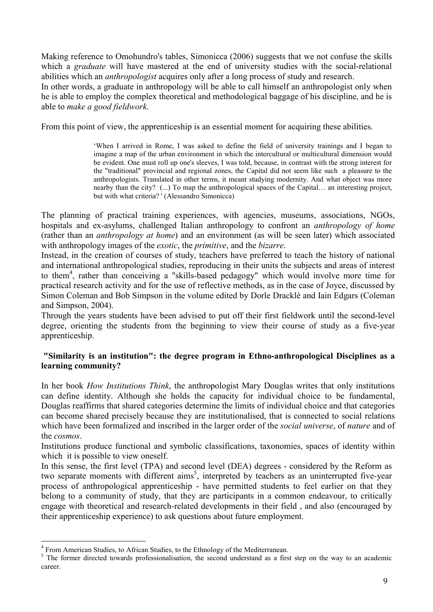Making reference to Omohundro's tables, Simonicca (2006) suggests that we not confuse the skills which a *graduate* will have mastered at the end of university studies with the social-relational abilities which an anthropologist acquires only after a long process of study and research.

In other words, a graduate in anthropology will be able to call himself an anthropologist only when he is able to employ the complex theoretical and methodological baggage of his discipline, and he is able to make a good fieldwork.

From this point of view, the apprenticeship is an essential moment for acquiring these abilities.

'When I arrived in Rome, I was asked to define the field of university trainings and I began to imagine a map of the urban environment in which the intercultural or multicultural dimension would be evident. One must roll up one's sleeves, I was told, because, in contrast with the strong interest for the "traditional" provincial and regional zones, the Capital did not seem like such a pleasure to the anthropologists. Translated in other terms, it meant studying modernity. And what object was more nearby than the city? (...) To map the anthropological spaces of the Capital… an interesting project, but with what criteria? ' (Alessandro Simonicca)

The planning of practical training experiences, with agencies, museums, associations, NGOs, hospitals and ex-asylums, challenged Italian anthropology to confront an *anthropology of home* (rather than an anthropology at home) and an environment (as will be seen later) which associated with anthropology images of the *exotic*, the *primitive*, and the *bizarre*.

Instead, in the creation of courses of study, teachers have preferred to teach the history of national and international anthropological studies, reproducing in their units the subjects and areas of interest to them<sup>4</sup>, rather than conceiving a "skills-based pedagogy" which would involve more time for practical research activity and for the use of reflective methods, as in the case of Joyce, discussed by Simon Coleman and Bob Simpson in the volume edited by Dorle Dracklè and Iain Edgars (Coleman and Simpson, 2004).

Through the years students have been advised to put off their first fieldwork until the second-level degree, orienting the students from the beginning to view their course of study as a five-year apprenticeship.

## "Similarity is an institution": the degree program in Ethno-anthropological Disciplines as a learning community?

In her book How Institutions Think, the anthropologist Mary Douglas writes that only institutions can define identity. Although she holds the capacity for individual choice to be fundamental, Douglas reaffirms that shared categories determine the limits of individual choice and that categories can become shared precisely because they are institutionalised, that is connected to social relations which have been formalized and inscribed in the larger order of the *social universe*, of *nature* and of the cosmos.

Institutions produce functional and symbolic classifications, taxonomies, spaces of identity within which it is possible to view oneself.

In this sense, the first level (TPA) and second level (DEA) degrees - considered by the Reform as two separate moments with different aims<sup>5</sup>, interpreted by teachers as an uninterrupted five-year process of anthropological apprenticeship - have permitted students to feel earlier on that they belong to a community of study, that they are participants in a common endeavour, to critically engage with theoretical and research-related developments in their field , and also (encouraged by their apprenticeship experience) to ask questions about future employment.

 4 From American Studies, to African Studies, to the Ethnology of the Mediterranean.

<sup>&</sup>lt;sup>5</sup> The former directed towards professionalisation, the second understand as a first step on the way to an academic career.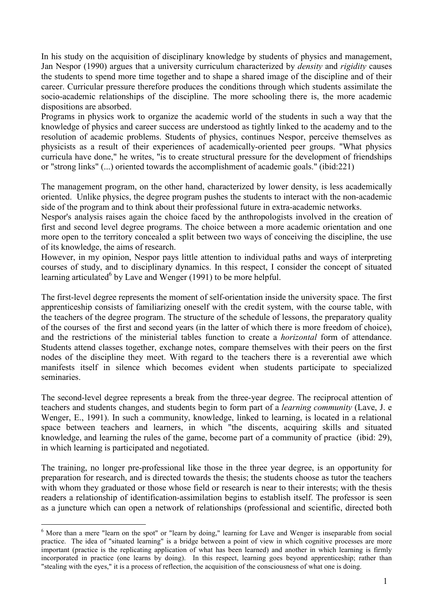In his study on the acquisition of disciplinary knowledge by students of physics and management, Jan Nespor (1990) argues that a university curriculum characterized by *density* and *rigidity* causes the students to spend more time together and to shape a shared image of the discipline and of their career. Curricular pressure therefore produces the conditions through which students assimilate the socio-academic relationships of the discipline. The more schooling there is, the more academic dispositions are absorbed.

Programs in physics work to organize the academic world of the students in such a way that the knowledge of physics and career success are understood as tightly linked to the academy and to the resolution of academic problems. Students of physics, continues Nespor, perceive themselves as physicists as a result of their experiences of academically-oriented peer groups. "What physics curricula have done," he writes, "is to create structural pressure for the development of friendships or "strong links" (...) oriented towards the accomplishment of academic goals." (ibid:221)

The management program, on the other hand, characterized by lower density, is less academically oriented. Unlike physics, the degree program pushes the students to interact with the non-academic side of the program and to think about their professional future in extra-academic networks.

Nespor's analysis raises again the choice faced by the anthropologists involved in the creation of first and second level degree programs. The choice between a more academic orientation and one more open to the territory concealed a split between two ways of conceiving the discipline, the use of its knowledge, the aims of research.

However, in my opinion, Nespor pays little attention to individual paths and ways of interpreting courses of study, and to disciplinary dynamics. In this respect, I consider the concept of situated learning articulated<sup>6</sup> by Lave and Wenger (1991) to be more helpful.

The first-level degree represents the moment of self-orientation inside the university space. The first apprenticeship consists of familiarizing oneself with the credit system, with the course table, with the teachers of the degree program. The structure of the schedule of lessons, the preparatory quality of the courses of the first and second years (in the latter of which there is more freedom of choice), and the restrictions of the ministerial tables function to create a horizontal form of attendance. Students attend classes together, exchange notes, compare themselves with their peers on the first nodes of the discipline they meet. With regard to the teachers there is a reverential awe which manifests itself in silence which becomes evident when students participate to specialized seminaries.

The second-level degree represents a break from the three-year degree. The reciprocal attention of teachers and students changes, and students begin to form part of a learning community (Lave, J. e Wenger, E., 1991). In such a community, knowledge, linked to learning, is located in a relational space between teachers and learners, in which "the discents, acquiring skills and situated knowledge, and learning the rules of the game, become part of a community of practice (ibid: 29), in which learning is participated and negotiated.

The training, no longer pre-professional like those in the three year degree, is an opportunity for preparation for research, and is directed towards the thesis; the students choose as tutor the teachers with whom they graduated or those whose field or research is near to their interests; with the thesis readers a relationship of identification-assimilation begins to establish itself. The professor is seen as a juncture which can open a network of relationships (professional and scientific, directed both

<sup>&</sup>lt;sup>6</sup> More than a mere "learn on the spot" or "learn by doing," learning for Lave and Wenger is inseparable from social practice. The idea of "situated learning" is a bridge between a point of view in which cognitive processes are more important (practice is the replicating application of what has been learned) and another in which learning is firmly incorporated in practice (one learns by doing). In this respect, learning goes beyond apprenticeship; rather than "stealing with the eyes," it is a process of reflection, the acquisition of the consciousness of what one is doing.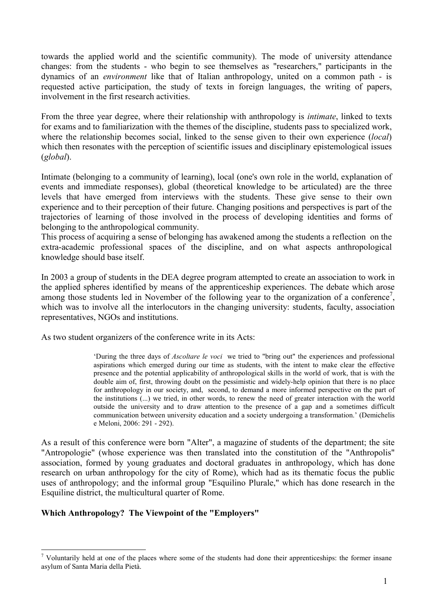towards the applied world and the scientific community). The mode of university attendance changes: from the students - who begin to see themselves as "researchers," participants in the dynamics of an environment like that of Italian anthropology, united on a common path - is requested active participation, the study of texts in foreign languages, the writing of papers, involvement in the first research activities.

From the three year degree, where their relationship with anthropology is intimate, linked to texts for exams and to familiarization with the themes of the discipline, students pass to specialized work, where the relationship becomes social, linked to the sense given to their own experience (*local*) which then resonates with the perception of scientific issues and disciplinary epistemological issues  $(global)$ .

Intimate (belonging to a community of learning), local (one's own role in the world, explanation of events and immediate responses), global (theoretical knowledge to be articulated) are the three levels that have emerged from interviews with the students. These give sense to their own experience and to their perception of their future. Changing positions and perspectives is part of the trajectories of learning of those involved in the process of developing identities and forms of belonging to the anthropological community.

This process of acquiring a sense of belonging has awakened among the students a reflection on the extra-academic professional spaces of the discipline, and on what aspects anthropological knowledge should base itself.

In 2003 a group of students in the DEA degree program attempted to create an association to work in the applied spheres identified by means of the apprenticeship experiences. The debate which arose among those students led in November of the following year to the organization of a conference<sup>7</sup>, which was to involve all the interlocutors in the changing university: students, faculty, association representatives, NGOs and institutions.

As two student organizers of the conference write in its Acts:

'During the three days of Ascoltare le voci we tried to "bring out" the experiences and professional aspirations which emerged during our time as students, with the intent to make clear the effective presence and the potential applicability of anthropological skills in the world of work, that is with the double aim of, first, throwing doubt on the pessimistic and widely-help opinion that there is no place for anthropology in our society, and, second, to demand a more informed perspective on the part of the institutions (...) we tried, in other words, to renew the need of greater interaction with the world outside the university and to draw attention to the presence of a gap and a sometimes difficult communication between university education and a society undergoing a transformation.' (Demichelis e Meloni, 2006: 291 - 292).

As a result of this conference were born "Alter", a magazine of students of the department; the site "Antropologie" (whose experience was then translated into the constitution of the "Anthropolis" association, formed by young graduates and doctoral graduates in anthropology, which has done research on urban anthropology for the city of Rome), which had as its thematic focus the public uses of anthropology; and the informal group "Esquilino Plurale," which has done research in the Esquiline district, the multicultural quarter of Rome.

## Which Anthropology? The Viewpoint of the "Employers"

<sup>&</sup>lt;sup>7</sup> Voluntarily held at one of the places where some of the students had done their apprenticeships: the former insane asylum of Santa Maria della Pietà.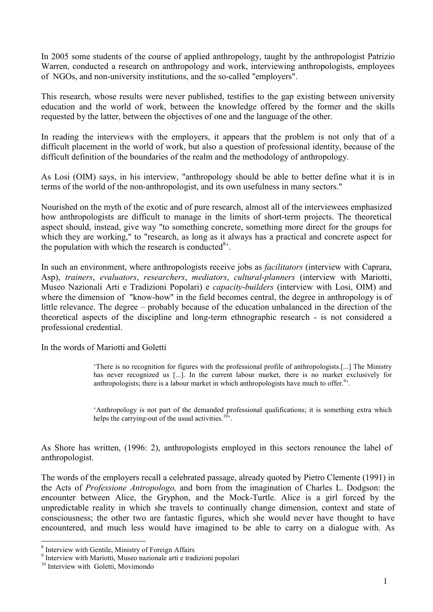In 2005 some students of the course of applied anthropology, taught by the anthropologist Patrizio Warren, conducted a research on anthropology and work, interviewing anthropologists, employees of NGOs, and non-university institutions, and the so-called "employers".

This research, whose results were never published, testifies to the gap existing between university education and the world of work, between the knowledge offered by the former and the skills requested by the latter, between the objectives of one and the language of the other.

In reading the interviews with the employers, it appears that the problem is not only that of a difficult placement in the world of work, but also a question of professional identity, because of the difficult definition of the boundaries of the realm and the methodology of anthropology.

As Losi (OIM) says, in his interview, "anthropology should be able to better define what it is in terms of the world of the non-anthropologist, and its own usefulness in many sectors."

Nourished on the myth of the exotic and of pure research, almost all of the interviewees emphasized how anthropologists are difficult to manage in the limits of short-term projects. The theoretical aspect should, instead, give way "to something concrete, something more direct for the groups for which they are working," to "research, as long as it always has a practical and concrete aspect for the population with which the research is conducted<sup>8</sup>.

In such an environment, where anthropologists receive jobs as *facilitators* (interview with Caprara, Asp), trainers, evaluators, researchers, mediators, cultural-planners (interview with Mariotti, Museo Nazionali Arti e Tradizioni Popolari) e *capacity-builders* (interview with Losi, OIM) and where the dimension of "know-how" in the field becomes central, the degree in anthropology is of little relevance. The degree – probably because of the education unbalanced in the direction of the theoretical aspects of the discipline and long-term ethnographic research - is not considered a professional credential.

In the words of Mariotti and Goletti

'There is no recognition for figures with the professional profile of anthropologists.[...] The Ministry has never recognized us [...]. In the current labour market, there is no market exclusively for anthropologists; there is a labour market in which anthropologists have much to offer.<sup>9</sup>.

'Anthropology is not part of the demanded professional qualifications; it is something extra which helps the carrying-out of the usual activities. $10^{\circ}$ .

As Shore has written, (1996: 2), anthropologists employed in this sectors renounce the label of anthropologist.

The words of the employers recall a celebrated passage, already quoted by Pietro Clemente (1991) in the Acts of Professione Antropologo, and born from the imagination of Charles L. Dodgson: the encounter between Alice, the Gryphon, and the Mock-Turtle. Alice is a girl forced by the unpredictable reality in which she travels to continually change dimension, context and state of consciousness; the other two are fantastic figures, which she would never have thought to have encountered, and much less would have imagined to be able to carry on a dialogue with. As

<sup>&</sup>lt;sup>8</sup> Interview with Gentile, Ministry of Foreign Affairs

<sup>&</sup>lt;sup>9</sup> Interview with Mariotti, Museo nazionale arti e tradizioni popolari

<sup>&</sup>lt;sup>10</sup> Interview with Goletti, Movimondo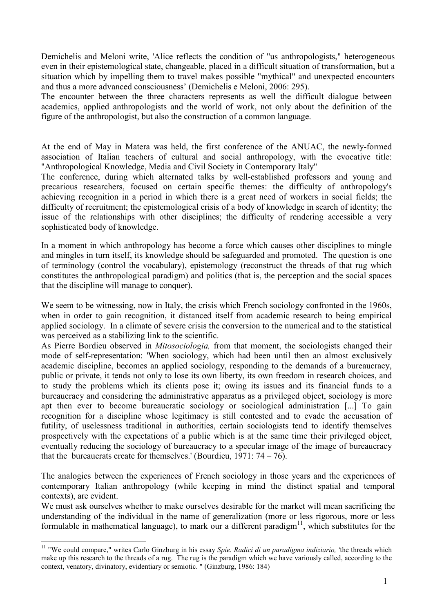Demichelis and Meloni write, 'Alice reflects the condition of "us anthropologists," heterogeneous even in their epistemological state, changeable, placed in a difficult situation of transformation, but a situation which by impelling them to travel makes possible "mythical" and unexpected encounters and thus a more advanced consciousness' (Demichelis e Meloni, 2006: 295).

The encounter between the three characters represents as well the difficult dialogue between academics, applied anthropologists and the world of work, not only about the definition of the figure of the anthropologist, but also the construction of a common language.

At the end of May in Matera was held, the first conference of the ANUAC, the newly-formed association of Italian teachers of cultural and social anthropology, with the evocative title: "Anthropological Knowledge, Media and Civil Society in Contemporary Italy"

The conference, during which alternated talks by well-established professors and young and precarious researchers, focused on certain specific themes: the difficulty of anthropology's achieving recognition in a period in which there is a great need of workers in social fields; the difficulty of recruitment; the epistemological crisis of a body of knowledge in search of identity; the issue of the relationships with other disciplines; the difficulty of rendering accessible a very sophisticated body of knowledge.

In a moment in which anthropology has become a force which causes other disciplines to mingle and mingles in turn itself, its knowledge should be safeguarded and promoted. The question is one of terminology (control the vocabulary), epistemology (reconstruct the threads of that rug which constitutes the anthropological paradigm) and politics (that is, the perception and the social spaces that the discipline will manage to conquer).

We seem to be witnessing, now in Italy, the crisis which French sociology confronted in the 1960s, when in order to gain recognition, it distanced itself from academic research to being empirical applied sociology. In a climate of severe crisis the conversion to the numerical and to the statistical was perceived as a stabilizing link to the scientific.

As Pierre Bordieu observed in Mitosociologia, from that moment, the sociologists changed their mode of self-representation: 'When sociology, which had been until then an almost exclusively academic discipline, becomes an applied sociology, responding to the demands of a bureaucracy, public or private, it tends not only to lose its own liberty, its own freedom in research choices, and to study the problems which its clients pose it; owing its issues and its financial funds to a bureaucracy and considering the administrative apparatus as a privileged object, sociology is more apt then ever to become bureaucratic sociology or sociological administration [...] To gain recognition for a discipline whose legitimacy is still contested and to evade the accusation of futility, of uselessness traditional in authorities, certain sociologists tend to identify themselves prospectively with the expectations of a public which is at the same time their privileged object, eventually reducing the sociology of bureaucracy to a specular image of the image of bureaucracy that the bureaucrats create for themselves.' (Bourdieu,  $1971: 74 - 76$ ).

The analogies between the experiences of French sociology in those years and the experiences of contemporary Italian anthropology (while keeping in mind the distinct spatial and temporal contexts), are evident.

We must ask ourselves whether to make ourselves desirable for the market will mean sacrificing the understanding of the individual in the name of generalization (more or less rigorous, more or less formulable in mathematical language), to mark our a different paradigm<sup>11</sup>, which substitutes for the

 $\overline{a}$ 

<sup>&</sup>lt;sup>11</sup> "We could compare," writes Carlo Ginzburg in his essay Spie. Radici di un paradigma indiziario, 'the threads which make up this research to the threads of a rug. The rug is the paradigm which we have variously called, according to the context, venatory, divinatory, evidentiary or semiotic. " (Ginzburg, 1986: 184)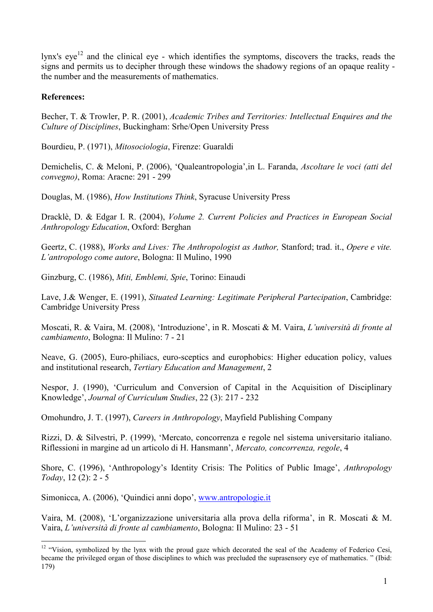lynx's  $eye<sup>12</sup>$  and the clinical eye - which identifies the symptoms, discovers the tracks, reads the signs and permits us to decipher through these windows the shadowy regions of an opaque reality the number and the measurements of mathematics.

# References:

Becher, T. & Trowler, P. R. (2001), Academic Tribes and Territories: Intellectual Enquires and the Culture of Disciplines, Buckingham: Srhe/Open University Press

Bourdieu, P. (1971), Mitosociologia, Firenze: Guaraldi

Demichelis, C. & Meloni, P. (2006), 'Qualeantropologia',in L. Faranda, Ascoltare le voci (atti del convegno), Roma: Aracne: 291 - 299

Douglas, M. (1986), How Institutions Think, Syracuse University Press

Dracklè, D. & Edgar I. R. (2004), Volume 2. Current Policies and Practices in European Social Anthropology Education, Oxford: Berghan

Geertz, C. (1988), Works and Lives: The Anthropologist as Author, Stanford; trad. it., Opere e vite. L'antropologo come autore, Bologna: Il Mulino, 1990

Ginzburg, C. (1986), Miti, Emblemi, Spie, Torino: Einaudi

Lave, J.& Wenger, E. (1991), Situated Learning: Legitimate Peripheral Partecipation, Cambridge: Cambridge University Press

Moscati, R. & Vaira, M. (2008), 'Introduzione', in R. Moscati & M. Vaira, L'università di fronte al cambiamento, Bologna: Il Mulino: 7 - 21

Neave, G. (2005), Euro-philiacs, euro-sceptics and europhobics: Higher education policy, values and institutional research, Tertiary Education and Management, 2

Nespor, J. (1990), 'Curriculum and Conversion of Capital in the Acquisition of Disciplinary Knowledge', Journal of Curriculum Studies, 22 (3): 217 - 232

Omohundro, J. T. (1997), Careers in Anthropology, Mayfield Publishing Company

Rizzi, D. & Silvestri, P. (1999), 'Mercato, concorrenza e regole nel sistema universitario italiano. Riflessioni in margine ad un articolo di H. Hansmann', Mercato, concorrenza, regole, 4

Shore, C. (1996), 'Anthropology's Identity Crisis: The Politics of Public Image', Anthropology Today, 12 (2): 2 - 5

Simonicca, A. (2006), 'Quindici anni dopo', [www.antropologie.it](http://www.antropologie.it/)

Vaira, M. (2008), 'L'organizzazione universitaria alla prova della riforma', in R. Moscati & M. Vaira, L'università di fronte al cambiamento, Bologna: Il Mulino: 23 - 51

 $\overline{a}$ <sup>12</sup> "Vision, symbolized by the lynx with the proud gaze which decorated the seal of the Academy of Federico Cesi, became the privileged organ of those disciplines to which was precluded the suprasensory eye of mathematics. " (Ibid: 179)